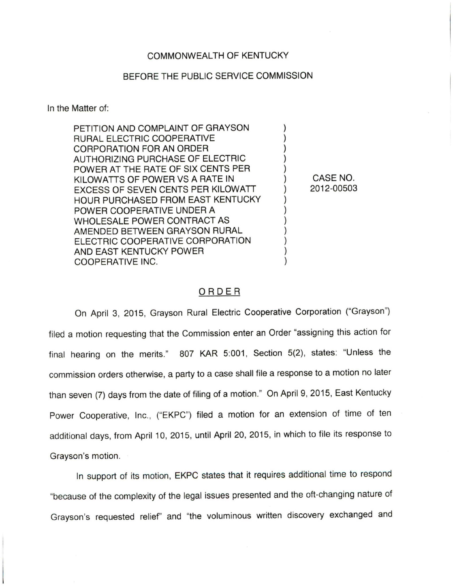## COMMONWEALTH OF KENTUCKY

## BEFORE THE PUBLIC SERVICE COMMISSION

In the Matter of:

PETITION AND COMPLAINT OF GRAYSON RURAL ELECTRIC COOPERATIVE CORPORATION FOR AN ORDER AUTHORIZING PURCHASE OF ELECTRIC POWER AT THE RATE OF SIX CENTS PER KILOWATTS OF POWER VS A RATE IN EXCESS OF SEVEN CENTS PER KILOWATT HOUR PURCHASED FROM EAST KENTUCKY POWER COOPERATIVE UNDER A WHOLESALE POWER CONTRACT AS AMENDED BETWEEN GRAYSON RURAL ELECTRIC COOPERATIVE CORPORATION AND EAST KENTUCKY POWER COOPERATIVE INC.

CASE NO. 2012-00503

## ORDER

On April 3, 2015, Grayson Rural Electric Cooperative Corporation ("Grayson") filed a motion requesting that the Commission enter an Order "assigning this action for final hearing on the merits." 807 KAR 5:001, Section 5(2), states: "Unless the commission orders otherwise, a party to a case shall file a response to a motion no later than seven (7) days from the date of filing of a motion." On April 9, 2015, East Kentucky Power Cooperative, Inc., ("EKPC") filed a motion for an extension of time of ten additional days, from April 10, 2015, until April 20, 2015, in which to file its response to Grayson's motion.

In support of its motion, EKPC states that it requires additional time to respond "because of the complexity of the legal issues presented and the oft-changing nature of Grayson's requested relief" and "the voluminous written discovery exchanged and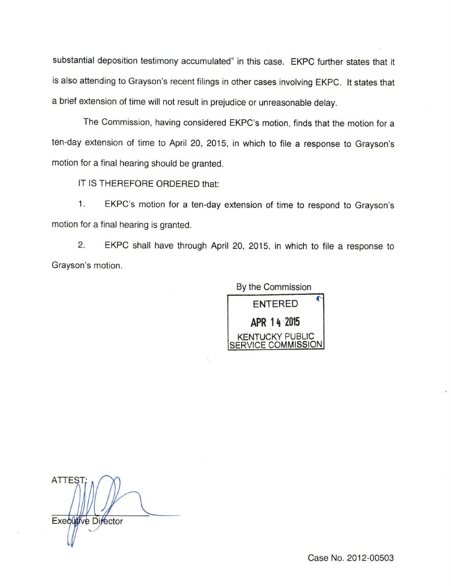substantial deposition testimony accumulated" in this case. EKPC further states that it is also attending to Grayson's recent filings in other cases involving EKPC. It states that a brief extension of time will not result in prejudice or unreasonable delay.

The Commission, having considered EKPC's motion, finds that the motion for a ten-day extension of time to April 20, 2015, in which to file a response to Grayson's motion for a final hearing should be granted.

IT IS THEREFORE ORDERED that;

1. EKPC's motion for a ten-day extension of time to respond to Grayson's motion for a final hearing is granted.

2. EKPC shall have through April 20, 2015, in which to file a response to Grayson's motion.

> By the Commission ENTERED APR 1h 2015 KENTUCKY PUBLIC COMMISSION

**ATTEST** Executive Director